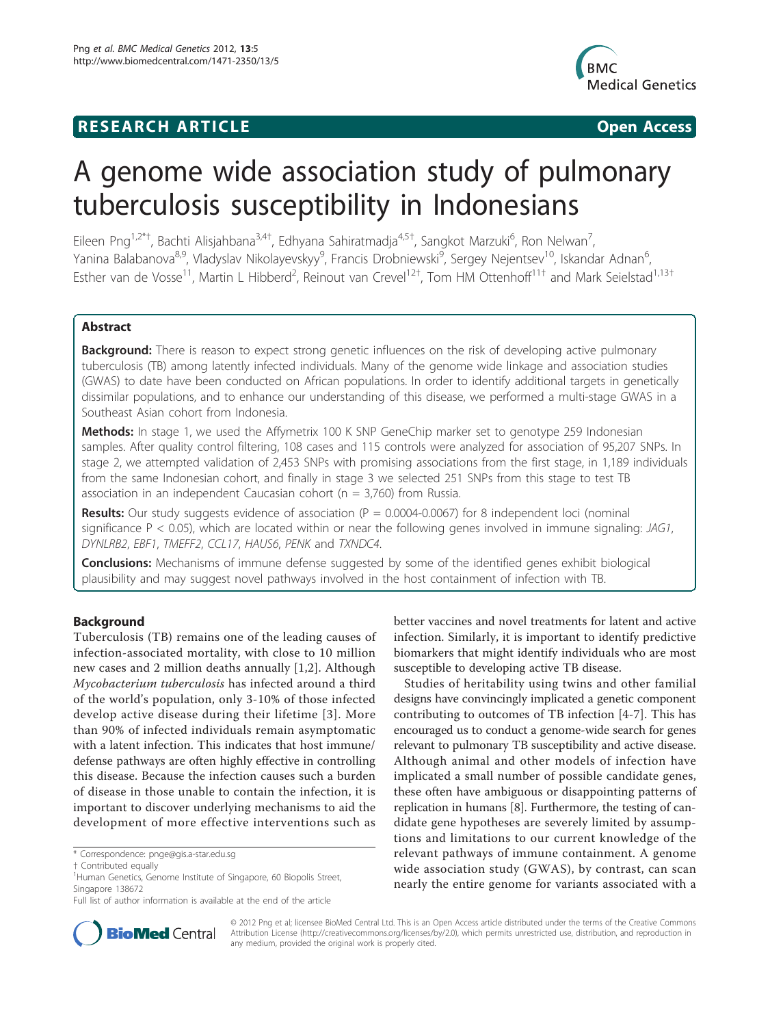## **RESEARCH ARTICLE Example 2018 12:00 Open Access**



# A genome wide association study of pulmonary tuberculosis susceptibility in Indonesians

Eileen Png<sup>1,2\*†</sup>, Bachti Alisjahbana<sup>3,4†</sup>, Edhyana Sahiratmadja<sup>4,5†</sup>, Sangkot Marzuki<sup>6</sup>, Ron Nelwan<sup>7</sup> , Yanina Balabanova<sup>8,9</sup>, Vladyslav Nikolayevskyy<sup>9</sup>, Francis Drobniewski<sup>9</sup>, Sergey Nejentsev<sup>10</sup>, Iskandar Adnan<sup>6</sup> , Esther van de Vosse<sup>11</sup>, Martin L Hibberd<sup>2</sup>, Reinout van Crevel<sup>12†</sup>, Tom HM Ottenhoff<sup>11†</sup> and Mark Seielstad<sup>1,13†</sup>

## Abstract

**Background:** There is reason to expect strong genetic influences on the risk of developing active pulmonary tuberculosis (TB) among latently infected individuals. Many of the genome wide linkage and association studies (GWAS) to date have been conducted on African populations. In order to identify additional targets in genetically dissimilar populations, and to enhance our understanding of this disease, we performed a multi-stage GWAS in a Southeast Asian cohort from Indonesia.

Methods: In stage 1, we used the Affymetrix 100 K SNP GeneChip marker set to genotype 259 Indonesian samples. After quality control filtering, 108 cases and 115 controls were analyzed for association of 95,207 SNPs. In stage 2, we attempted validation of 2,453 SNPs with promising associations from the first stage, in 1,189 individuals from the same Indonesian cohort, and finally in stage 3 we selected 251 SNPs from this stage to test TB association in an independent Caucasian cohort ( $n = 3,760$ ) from Russia.

**Results:** Our study suggests evidence of association ( $P = 0.0004$ -0.0067) for 8 independent loci (nominal significance  $P < 0.05$ ), which are located within or near the following genes involved in immune signaling: JAG1, DYNLRB2, EBF1, TMEFF2, CCL17, HAUS6, PENK and TXNDC4.

**Conclusions:** Mechanisms of immune defense suggested by some of the identified genes exhibit biological plausibility and may suggest novel pathways involved in the host containment of infection with TB.

## Background

Tuberculosis (TB) remains one of the leading causes of infection-associated mortality, with close to 10 million new cases and 2 million deaths annually [[1,2](#page-7-0)]. Although Mycobacterium tuberculosis has infected around a third of the world's population, only 3-10% of those infected develop active disease during their lifetime [[3](#page-7-0)]. More than 90% of infected individuals remain asymptomatic with a latent infection. This indicates that host immune/ defense pathways are often highly effective in controlling this disease. Because the infection causes such a burden of disease in those unable to contain the infection, it is important to discover underlying mechanisms to aid the development of more effective interventions such as

\* Correspondence: [pnge@gis.a-star.edu.sg](mailto:pnge@gis.a-star.edu.sg)

better vaccines and novel treatments for latent and active infection. Similarly, it is important to identify predictive biomarkers that might identify individuals who are most susceptible to developing active TB disease.

Studies of heritability using twins and other familial designs have convincingly implicated a genetic component contributing to outcomes of TB infection [[4-7](#page-7-0)]. This has encouraged us to conduct a genome-wide search for genes relevant to pulmonary TB susceptibility and active disease. Although animal and other models of infection have implicated a small number of possible candidate genes, these often have ambiguous or disappointing patterns of replication in humans [[8\]](#page-7-0). Furthermore, the testing of candidate gene hypotheses are severely limited by assumptions and limitations to our current knowledge of the relevant pathways of immune containment. A genome wide association study (GWAS), by contrast, can scan nearly the entire genome for variants associated with a



© 2012 Png et al; licensee BioMed Central Ltd. This is an Open Access article distributed under the terms of the Creative Commons Attribution License [\(http://creativecommons.org/licenses/by/2.0](http://creativecommons.org/licenses/by/2.0)), which permits unrestricted use, distribution, and reproduction in any medium, provided the original work is properly cited.

<sup>†</sup> Contributed equally <sup>1</sup>

<sup>&</sup>lt;sup>1</sup>Human Genetics, Genome Institute of Singapore, 60 Biopolis Street, Singapore 138672

Full list of author information is available at the end of the article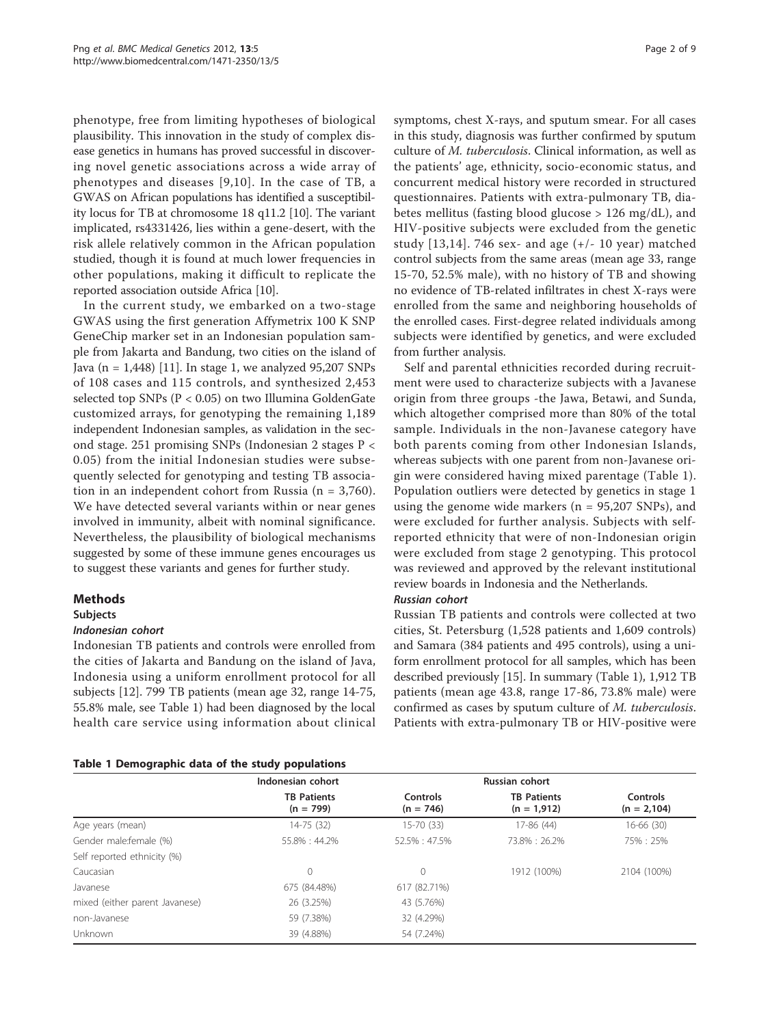<span id="page-1-0"></span>phenotype, free from limiting hypotheses of biological plausibility. This innovation in the study of complex disease genetics in humans has proved successful in discovering novel genetic associations across a wide array of phenotypes and diseases [[9](#page-7-0),[10](#page-7-0)]. In the case of TB, a GWAS on African populations has identified a susceptibility locus for TB at chromosome 18 q11.2 [[10](#page-7-0)]. The variant implicated, rs4331426, lies within a gene-desert, with the risk allele relatively common in the African population studied, though it is found at much lower frequencies in other populations, making it difficult to replicate the reported association outside Africa [[10](#page-7-0)].

In the current study, we embarked on a two-stage GWAS using the first generation Affymetrix 100 K SNP GeneChip marker set in an Indonesian population sample from Jakarta and Bandung, two cities on the island of Java ( $n = 1,448$ ) [\[11\]](#page-7-0). In stage 1, we analyzed 95,207 SNPs of 108 cases and 115 controls, and synthesized 2,453 selected top SNPs (P < 0.05) on two Illumina GoldenGate customized arrays, for genotyping the remaining 1,189 independent Indonesian samples, as validation in the second stage. 251 promising SNPs (Indonesian 2 stages P < 0.05) from the initial Indonesian studies were subsequently selected for genotyping and testing TB association in an independent cohort from Russia (n = 3,760). We have detected several variants within or near genes involved in immunity, albeit with nominal significance. Nevertheless, the plausibility of biological mechanisms suggested by some of these immune genes encourages us to suggest these variants and genes for further study.

## Methods

#### **Subjects**

## Indonesian cohort

Indonesian TB patients and controls were enrolled from the cities of Jakarta and Bandung on the island of Java, Indonesia using a uniform enrollment protocol for all subjects [\[12\]](#page-7-0). 799 TB patients (mean age 32, range 14-75, 55.8% male, see Table 1) had been diagnosed by the local health care service using information about clinical

## Page 2 of 9

symptoms, chest X-rays, and sputum smear. For all cases in this study, diagnosis was further confirmed by sputum culture of M. tuberculosis. Clinical information, as well as the patients' age, ethnicity, socio-economic status, and concurrent medical history were recorded in structured questionnaires. Patients with extra-pulmonary TB, diabetes mellitus (fasting blood glucose > 126 mg/dL), and HIV-positive subjects were excluded from the genetic study  $[13,14]$  $[13,14]$  $[13,14]$  $[13,14]$  $[13,14]$ . 746 sex- and age  $(+/- 10$  year) matched control subjects from the same areas (mean age 33, range 15-70, 52.5% male), with no history of TB and showing no evidence of TB-related infiltrates in chest X-rays were enrolled from the same and neighboring households of the enrolled cases. First-degree related individuals among subjects were identified by genetics, and were excluded from further analysis.

Self and parental ethnicities recorded during recruitment were used to characterize subjects with a Javanese origin from three groups -the Jawa, Betawi, and Sunda, which altogether comprised more than 80% of the total sample. Individuals in the non-Javanese category have both parents coming from other Indonesian Islands, whereas subjects with one parent from non-Javanese origin were considered having mixed parentage (Table 1). Population outliers were detected by genetics in stage 1 using the genome wide markers ( $n = 95,207$  SNPs), and were excluded for further analysis. Subjects with selfreported ethnicity that were of non-Indonesian origin were excluded from stage 2 genotyping. This protocol was reviewed and approved by the relevant institutional review boards in Indonesia and the Netherlands.

#### Russian cohort

Russian TB patients and controls were collected at two cities, St. Petersburg (1,528 patients and 1,609 controls) and Samara (384 patients and 495 controls), using a uniform enrollment protocol for all samples, which has been described previously [\[15\]](#page-7-0). In summary (Table 1), 1,912 TB patients (mean age 43.8, range 17-86, 73.8% male) were confirmed as cases by sputum culture of M. tuberculosis. Patients with extra-pulmonary TB or HIV-positive were

|                                | Indonesian cohort                 |                         |                                     |                           |
|--------------------------------|-----------------------------------|-------------------------|-------------------------------------|---------------------------|
|                                | <b>TB Patients</b><br>$(n = 799)$ | Controls<br>$(n = 746)$ | <b>TB Patients</b><br>$(n = 1.912)$ | Controls<br>$(n = 2,104)$ |
| Age years (mean)               | $14 - 75(32)$                     | $15 - 70(33)$           | 17-86 (44)                          | 16-66 (30)                |
| Gender male:female (%)         | 55.8% : 44.2%                     | 52.5% : 47.5%           | 73.8%: 26.2%                        | 75% : 25%                 |
| Self reported ethnicity (%)    |                                   |                         |                                     |                           |
| Caucasian                      | 0                                 | 0                       | 1912 (100%)                         | 2104 (100%)               |
| Javanese                       | 675 (84.48%)                      | 617 (82.71%)            |                                     |                           |
| mixed (either parent Javanese) | 26 (3.25%)                        | 43 (5.76%)              |                                     |                           |
| non-Javanese                   | 59 (7.38%)                        | 32 (4.29%)              |                                     |                           |
| Unknown                        | 39 (4.88%)                        | 54 (7.24%)              |                                     |                           |

## Table 1 Demographic data of the study populations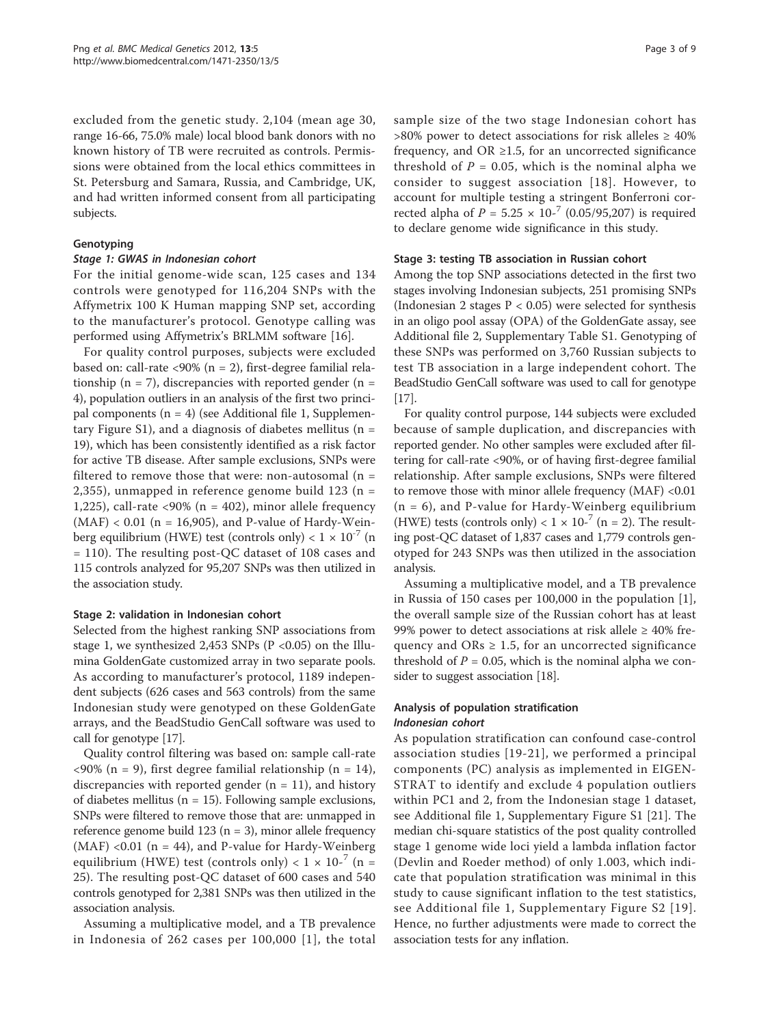excluded from the genetic study. 2,104 (mean age 30, range 16-66, 75.0% male) local blood bank donors with no known history of TB were recruited as controls. Permissions were obtained from the local ethics committees in St. Petersburg and Samara, Russia, and Cambridge, UK, and had written informed consent from all participating subjects.

#### Genotyping

#### Stage 1: GWAS in Indonesian cohort

For the initial genome-wide scan, 125 cases and 134 controls were genotyped for 116,204 SNPs with the Affymetrix 100 K Human mapping SNP set, according to the manufacturer's protocol. Genotype calling was performed using Affymetrix's BRLMM software [\[16\]](#page-7-0).

For quality control purposes, subjects were excluded based on: call-rate <90% ( $n = 2$ ), first-degree familial relationship ( $n = 7$ ), discrepancies with reported gender ( $n =$ 4), population outliers in an analysis of the first two principal components  $(n = 4)$  (see Additional file [1](#page-6-0), Supplementary Figure S1), and a diagnosis of diabetes mellitus ( $n =$ 19), which has been consistently identified as a risk factor for active TB disease. After sample exclusions, SNPs were filtered to remove those that were: non-autosomal  $(n =$ 2,355), unmapped in reference genome build 123 (n = 1,225), call-rate <90% ( $n = 402$ ), minor allele frequency  $(MAF) < 0.01$  (n = 16,905), and P-value of Hardy-Weinberg equilibrium (HWE) test (controls only) <  $1 \times 10^{-7}$  (n = 110). The resulting post-QC dataset of 108 cases and 115 controls analyzed for 95,207 SNPs was then utilized in the association study.

## Stage 2: validation in Indonesian cohort

Selected from the highest ranking SNP associations from stage 1, we synthesized 2,453 SNPs ( $P < 0.05$ ) on the Illumina GoldenGate customized array in two separate pools. As according to manufacturer's protocol, 1189 independent subjects (626 cases and 563 controls) from the same Indonesian study were genotyped on these GoldenGate arrays, and the BeadStudio GenCall software was used to call for genotype [[17](#page-7-0)].

Quality control filtering was based on: sample call-rate <90% (n = 9), first degree familial relationship (n = 14), discrepancies with reported gender ( $n = 11$ ), and history of diabetes mellitus ( $n = 15$ ). Following sample exclusions, SNPs were filtered to remove those that are: unmapped in reference genome build 123 ( $n = 3$ ), minor allele frequency  $(MAF)$  <0.01 (n = 44), and P-value for Hardy-Weinberg equilibrium (HWE) test (controls only) <  $1 \times 10^{-7}$  (n = 25). The resulting post-QC dataset of 600 cases and 540 controls genotyped for 2,381 SNPs was then utilized in the association analysis.

Assuming a multiplicative model, and a TB prevalence in Indonesia of 262 cases per 100,000 [[1](#page-7-0)], the total sample size of the two stage Indonesian cohort has >80% power to detect associations for risk alleles  $\geq 40\%$ frequency, and OR  $\geq$ 1.5, for an uncorrected significance threshold of  $P = 0.05$ , which is the nominal alpha we consider to suggest association [[18\]](#page-7-0). However, to account for multiple testing a stringent Bonferroni corrected alpha of  $P = 5.25 \times 10^{-7}$  (0.05/95,207) is required to declare genome wide significance in this study.

#### Stage 3: testing TB association in Russian cohort

Among the top SNP associations detected in the first two stages involving Indonesian subjects, 251 promising SNPs (Indonesian 2 stages  $P < 0.05$ ) were selected for synthesis in an oligo pool assay (OPA) of the GoldenGate assay, see Additional file [2,](#page-6-0) Supplementary Table S1. Genotyping of these SNPs was performed on 3,760 Russian subjects to test TB association in a large independent cohort. The BeadStudio GenCall software was used to call for genotype [[17](#page-7-0)].

For quality control purpose, 144 subjects were excluded because of sample duplication, and discrepancies with reported gender. No other samples were excluded after filtering for call-rate <90%, or of having first-degree familial relationship. After sample exclusions, SNPs were filtered to remove those with minor allele frequency (MAF) <0.01  $(n = 6)$ , and P-value for Hardy-Weinberg equilibrium (HWE) tests (controls only) <  $1 \times 10^{-7}$  (n = 2). The resulting post-QC dataset of 1,837 cases and 1,779 controls genotyped for 243 SNPs was then utilized in the association analysis.

Assuming a multiplicative model, and a TB prevalence in Russia of 150 cases per 100,000 in the population [\[1](#page-7-0)], the overall sample size of the Russian cohort has at least 99% power to detect associations at risk allele  $\geq$  40% frequency and ORs  $\geq$  1.5, for an uncorrected significance threshold of  $P = 0.05$ , which is the nominal alpha we consider to suggest association [\[18\]](#page-7-0).

## Analysis of population stratification Indonesian cohort

As population stratification can confound case-control association studies [[19](#page-7-0)-[21\]](#page-7-0), we performed a principal components (PC) analysis as implemented in EIGEN-STRAT to identify and exclude 4 population outliers within PC1 and 2, from the Indonesian stage 1 dataset, see Additional file [1,](#page-6-0) Supplementary Figure S1 [[21\]](#page-7-0). The median chi-square statistics of the post quality controlled stage 1 genome wide loci yield a lambda inflation factor (Devlin and Roeder method) of only 1.003, which indicate that population stratification was minimal in this study to cause significant inflation to the test statistics, see Additional file [1,](#page-6-0) Supplementary Figure S2 [[19\]](#page-7-0). Hence, no further adjustments were made to correct the association tests for any inflation.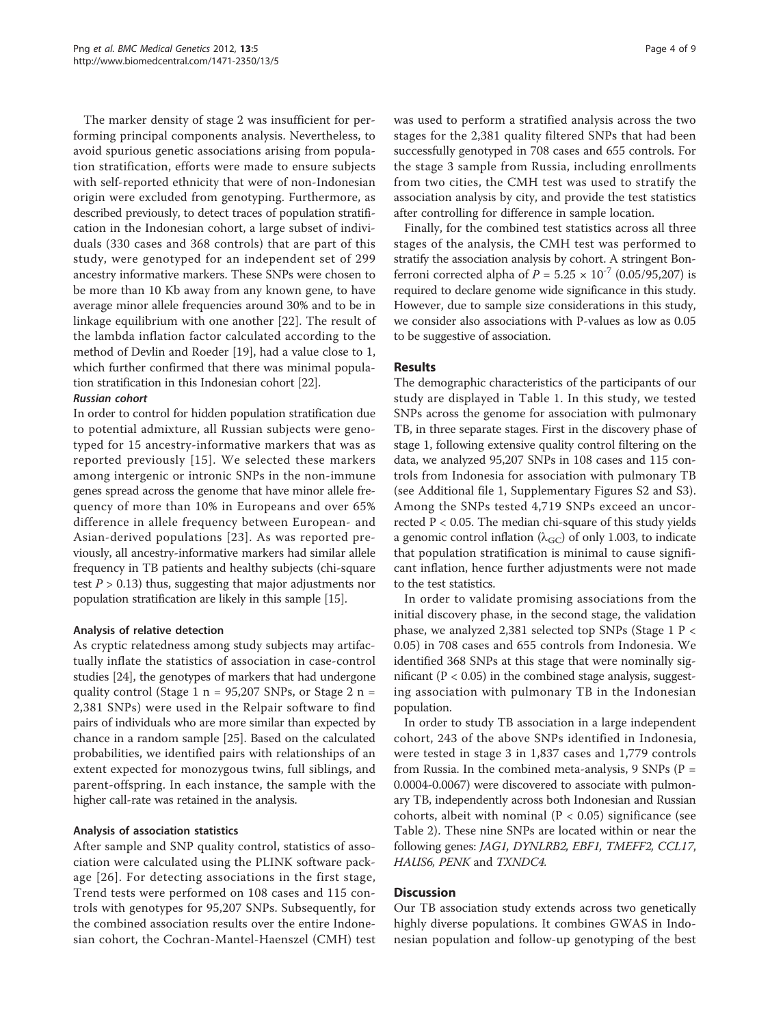The marker density of stage 2 was insufficient for performing principal components analysis. Nevertheless, to avoid spurious genetic associations arising from population stratification, efforts were made to ensure subjects with self-reported ethnicity that were of non-Indonesian origin were excluded from genotyping. Furthermore, as described previously, to detect traces of population stratification in the Indonesian cohort, a large subset of individuals (330 cases and 368 controls) that are part of this study, were genotyped for an independent set of 299 ancestry informative markers. These SNPs were chosen to be more than 10 Kb away from any known gene, to have average minor allele frequencies around 30% and to be in linkage equilibrium with one another [\[22](#page-7-0)]. The result of the lambda inflation factor calculated according to the method of Devlin and Roeder [\[19\]](#page-7-0), had a value close to 1, which further confirmed that there was minimal population stratification in this Indonesian cohort [\[22\]](#page-7-0).

#### Russian cohort

In order to control for hidden population stratification due to potential admixture, all Russian subjects were genotyped for 15 ancestry-informative markers that was as reported previously [[15](#page-7-0)]. We selected these markers among intergenic or intronic SNPs in the non-immune genes spread across the genome that have minor allele frequency of more than 10% in Europeans and over 65% difference in allele frequency between European- and Asian-derived populations [[23](#page-7-0)]. As was reported previously, all ancestry-informative markers had similar allele frequency in TB patients and healthy subjects (chi-square test  $P > 0.13$ ) thus, suggesting that major adjustments nor population stratification are likely in this sample [\[15\]](#page-7-0).

#### Analysis of relative detection

As cryptic relatedness among study subjects may artifactually inflate the statistics of association in case-control studies [\[24\]](#page-7-0), the genotypes of markers that had undergone quality control (Stage 1  $n = 95,207$  SNPs, or Stage 2  $n =$ 2,381 SNPs) were used in the Relpair software to find pairs of individuals who are more similar than expected by chance in a random sample [[25\]](#page-7-0). Based on the calculated probabilities, we identified pairs with relationships of an extent expected for monozygous twins, full siblings, and parent-offspring. In each instance, the sample with the higher call-rate was retained in the analysis.

## Analysis of association statistics

After sample and SNP quality control, statistics of association were calculated using the PLINK software package [[26\]](#page-7-0). For detecting associations in the first stage, Trend tests were performed on 108 cases and 115 controls with genotypes for 95,207 SNPs. Subsequently, for the combined association results over the entire Indonesian cohort, the Cochran-Mantel-Haenszel (CMH) test was used to perform a stratified analysis across the two stages for the 2,381 quality filtered SNPs that had been successfully genotyped in 708 cases and 655 controls. For the stage 3 sample from Russia, including enrollments from two cities, the CMH test was used to stratify the association analysis by city, and provide the test statistics after controlling for difference in sample location.

Finally, for the combined test statistics across all three stages of the analysis, the CMH test was performed to stratify the association analysis by cohort. A stringent Bonferroni corrected alpha of  $P = 5.25 \times 10^{-7}$  (0.05/95,207) is required to declare genome wide significance in this study. However, due to sample size considerations in this study, we consider also associations with P-values as low as 0.05 to be suggestive of association.

#### Results

The demographic characteristics of the participants of our study are displayed in Table [1.](#page-1-0) In this study, we tested SNPs across the genome for association with pulmonary TB, in three separate stages. First in the discovery phase of stage 1, following extensive quality control filtering on the data, we analyzed 95,207 SNPs in 108 cases and 115 controls from Indonesia for association with pulmonary TB (see Additional file [1](#page-6-0), Supplementary Figures S2 and S3). Among the SNPs tested 4,719 SNPs exceed an uncorrected  $P < 0.05$ . The median chi-square of this study yields a genomic control inflation ( $\lambda_{\rm GC}$ ) of only 1.003, to indicate that population stratification is minimal to cause significant inflation, hence further adjustments were not made to the test statistics.

In order to validate promising associations from the initial discovery phase, in the second stage, the validation phase, we analyzed 2,381 selected top SNPs (Stage 1 P < 0.05) in 708 cases and 655 controls from Indonesia. We identified 368 SNPs at this stage that were nominally significant ( $P < 0.05$ ) in the combined stage analysis, suggesting association with pulmonary TB in the Indonesian population.

In order to study TB association in a large independent cohort, 243 of the above SNPs identified in Indonesia, were tested in stage 3 in 1,837 cases and 1,779 controls from Russia. In the combined meta-analysis,  $9$  SNPs (P = 0.0004-0.0067) were discovered to associate with pulmonary TB, independently across both Indonesian and Russian cohorts, albeit with nominal ( $P < 0.05$ ) significance (see Table [2\)](#page-4-0). These nine SNPs are located within or near the following genes: JAG1, DYNLRB2, EBF1, TMEFF2, CCL17, HAUS6, PENK and TXNDC4.

#### **Discussion**

Our TB association study extends across two genetically highly diverse populations. It combines GWAS in Indonesian population and follow-up genotyping of the best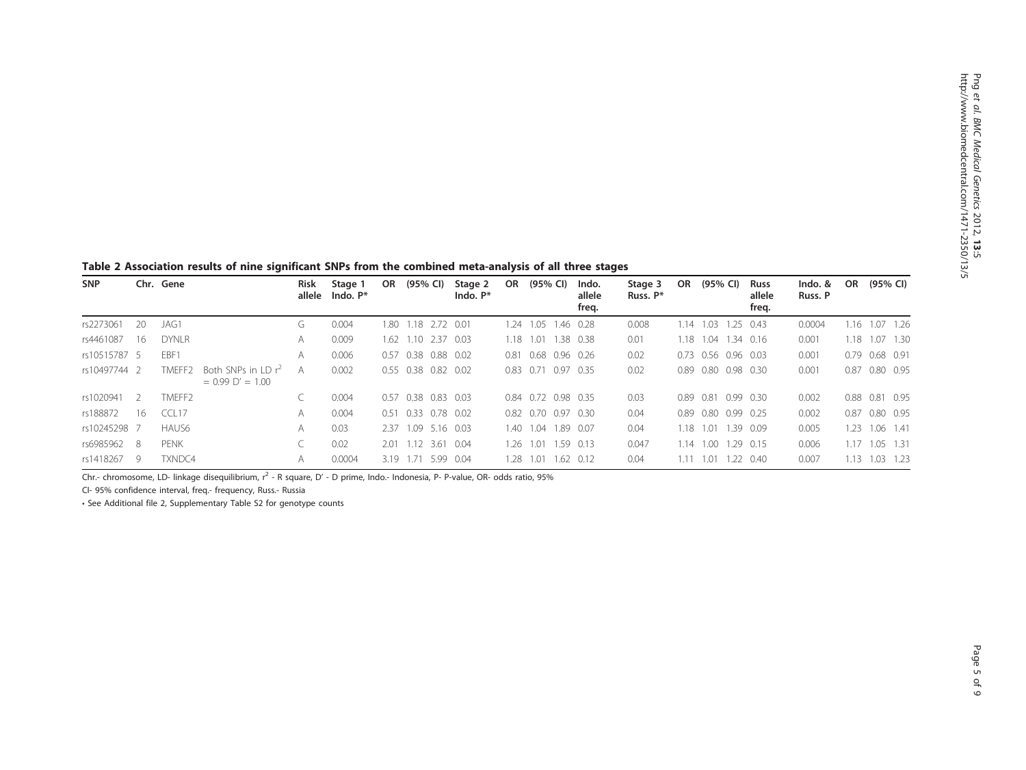<span id="page-4-0"></span>Table 2 Association results of nine significant SNPs from the combined meta-analysis of all three stages

| <b>SNP</b>   |                | Chr. Gene    |                                              | <b>Risk</b><br>allele | Stage 1<br>Indo. $P^*$ | OR.  | (95% CI)            |                | Stage 2<br>Indo. $P^*$ | <b>OR</b> | (95% CI)            | Indo.<br>allele<br>freq. | Stage 3<br>Russ. P* | OR.  | (95% CI)            | Russ<br>allele<br>freq. | Indo. &<br>Russ. P | <b>OR</b> | (95% CI)       |  |
|--------------|----------------|--------------|----------------------------------------------|-----------------------|------------------------|------|---------------------|----------------|------------------------|-----------|---------------------|--------------------------|---------------------|------|---------------------|-------------------------|--------------------|-----------|----------------|--|
| rs2273061    | 20             | JAG1         |                                              | G.                    | 0.004                  | 1.80 |                     | 1.18 2.72 0.01 |                        | 24        | $1.05 -$            | 1.46 0.28                | 0.008               |      | 1.14 1.03 1.25 0.43 |                         | 0.0004             | 1.16      | 1.07 1.26      |  |
| rs4461087    | 16             | <b>DYNLR</b> |                                              | A                     | 0.009                  |      | 1.62 1.10 2.37 0.03 |                |                        |           | 1.18 1.01 1.38 0.38 |                          | 0.01                |      |                     | 1.18 1.04 1.34 0.16     | 0.001              | 1.18      | 1.07 1.30      |  |
| rs10515787 5 |                | EBF1         |                                              | A                     | 0.006                  |      | 0.57 0.38 0.88 0.02 |                |                        |           |                     | 0.81 0.68 0.96 0.26      | 0.02                |      | 0.73 0.56 0.96 0.03 |                         | 0.001              |           | 0.79 0.68 0.91 |  |
| rs10497744 2 |                | TMFFF2       | Both SNPs in $IDr^2$<br>$= 0.99$ D' $= 1.00$ | A                     | 0.002                  |      | 0.55 0.38 0.82 0.02 |                |                        |           | $0.83$ $0.71$       | 0.97 0.35                | 0.02                |      | 0.89 0.80 0.98 0.30 |                         | 0.001              |           | 0.87 0.80 0.95 |  |
| rs1020941    | $\overline{2}$ | TMEFF2       |                                              |                       | 0.004                  |      | 0.57 0.38 0.83 0.03 |                |                        |           | 0.84 0.72 0.98 0.35 |                          | 0.03                | 0.89 | 0.81                | $0.99 \quad 0.30$       | 0.002              |           | 0.88 0.81 0.95 |  |
| rs188872     | 16             | CCL17        |                                              | A                     | 0.004                  |      | 0.51 0.33 0.78 0.02 |                |                        |           | 0.82 0.70 0.97 0.30 |                          | 0.04                |      |                     | 0.89 0.80 0.99 0.25     | 0.002              |           | 0.87 0.80 0.95 |  |
| rs10245298 7 |                | HAUS6        |                                              | A                     | 0.03                   |      | 2.37 1.09 5.16 0.03 |                |                        |           | 1.40 1.04 1.89 0.07 |                          | 0.04                |      | 1.18 1.01           | 1.39 0.09               | 0.005              |           | 1.23 1.06 1.41 |  |
| rs6985962    | -8             | <b>PENK</b>  |                                              |                       | 0.02                   |      | 2.01 1.12 3.61 0.04 |                |                        | .26       |                     | 1.01 1.59 0.13           | 0.047               |      |                     | 1.14 1.00 1.29 0.15     | 0.006              | 1.17      | 1.05 1.31      |  |
| rs1418267    | 9              | TXNDC4       |                                              | A                     | 0.0004                 |      | 3.19 1.71 5.99 0.04 |                |                        | .28       | 1.01                | $1.62$ 0.12              | 0.04                | 1.11 | 1.01                | 1.22 0.40               | 0.007              | 1.13      | 1.03 1.23      |  |

Chr.- chromosome, LD- linkage disequilibrium, r<sup>2</sup> - R square, D' - D prime, Indo.- Indonesia, P- P-value, OR- odds ratio, 95%

CI- 95% confidence interval, freq.- frequency, Russ.- Russia

• See Additional file [2,](#page-6-0) Supplementary Table S2 for genotype counts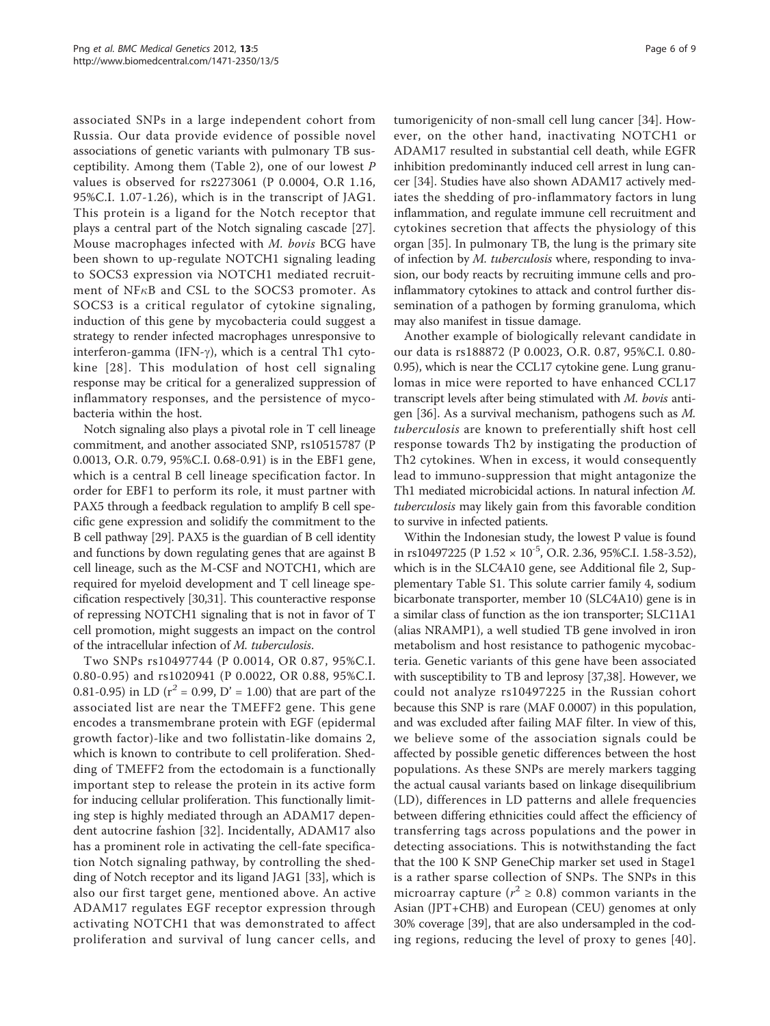associated SNPs in a large independent cohort from Russia. Our data provide evidence of possible novel associations of genetic variants with pulmonary TB susceptibility. Among them (Table [2](#page-4-0)), one of our lowest P values is observed for rs2273061 (P 0.0004, O.R 1.16, 95%C.I. 1.07-1.26), which is in the transcript of JAG1. This protein is a ligand for the Notch receptor that plays a central part of the Notch signaling cascade [\[27](#page-7-0)]. Mouse macrophages infected with M. bovis BCG have been shown to up-regulate NOTCH1 signaling leading to SOCS3 expression via NOTCH1 mediated recruitment of NFKB and CSL to the SOCS3 promoter. As SOCS3 is a critical regulator of cytokine signaling, induction of this gene by mycobacteria could suggest a strategy to render infected macrophages unresponsive to interferon-gamma (IFN- $\gamma$ ), which is a central Th1 cytokine [[28\]](#page-7-0). This modulation of host cell signaling response may be critical for a generalized suppression of inflammatory responses, and the persistence of mycobacteria within the host.

Notch signaling also plays a pivotal role in T cell lineage commitment, and another associated SNP, rs10515787 (P 0.0013, O.R. 0.79, 95%C.I. 0.68-0.91) is in the EBF1 gene, which is a central B cell lineage specification factor. In order for EBF1 to perform its role, it must partner with PAX5 through a feedback regulation to amplify B cell specific gene expression and solidify the commitment to the B cell pathway [\[29\]](#page-7-0). PAX5 is the guardian of B cell identity and functions by down regulating genes that are against B cell lineage, such as the M-CSF and NOTCH1, which are required for myeloid development and T cell lineage specification respectively [[30,31\]](#page-7-0). This counteractive response of repressing NOTCH1 signaling that is not in favor of T cell promotion, might suggests an impact on the control of the intracellular infection of M. tuberculosis.

Two SNPs rs10497744 (P 0.0014, OR 0.87, 95%C.I. 0.80-0.95) and rs1020941 (P 0.0022, OR 0.88, 95%C.I. 0.81-0.95) in LD ( $r^2$  = 0.99, D' = 1.00) that are part of the associated list are near the TMEFF2 gene. This gene encodes a transmembrane protein with EGF (epidermal growth factor)-like and two follistatin-like domains 2, which is known to contribute to cell proliferation. Shedding of TMEFF2 from the ectodomain is a functionally important step to release the protein in its active form for inducing cellular proliferation. This functionally limiting step is highly mediated through an ADAM17 dependent autocrine fashion [\[32\]](#page-7-0). Incidentally, ADAM17 also has a prominent role in activating the cell-fate specification Notch signaling pathway, by controlling the shedding of Notch receptor and its ligand JAG1 [\[33\]](#page-7-0), which is also our first target gene, mentioned above. An active ADAM17 regulates EGF receptor expression through activating NOTCH1 that was demonstrated to affect proliferation and survival of lung cancer cells, and

tumorigenicity of non-small cell lung cancer [[34\]](#page-7-0). However, on the other hand, inactivating NOTCH1 or ADAM17 resulted in substantial cell death, while EGFR inhibition predominantly induced cell arrest in lung cancer [\[34\]](#page-7-0). Studies have also shown ADAM17 actively mediates the shedding of pro-inflammatory factors in lung inflammation, and regulate immune cell recruitment and cytokines secretion that affects the physiology of this organ [\[35\]](#page-7-0). In pulmonary TB, the lung is the primary site of infection by M. tuberculosis where, responding to invasion, our body reacts by recruiting immune cells and proinflammatory cytokines to attack and control further dissemination of a pathogen by forming granuloma, which may also manifest in tissue damage.

Another example of biologically relevant candidate in our data is rs188872 (P 0.0023, O.R. 0.87, 95%C.I. 0.80- 0.95), which is near the CCL17 cytokine gene. Lung granulomas in mice were reported to have enhanced CCL17 transcript levels after being stimulated with M. bovis antigen [\[36](#page-8-0)]. As a survival mechanism, pathogens such as M. tuberculosis are known to preferentially shift host cell response towards Th2 by instigating the production of Th2 cytokines. When in excess, it would consequently lead to immuno-suppression that might antagonize the Th1 mediated microbicidal actions. In natural infection M. tuberculosis may likely gain from this favorable condition to survive in infected patients.

Within the Indonesian study, the lowest P value is found in rs10497225 (P  $1.52 \times 10^{-5}$ , O.R. 2.36, 95%C.I. 1.58-3.52), which is in the SLC4A10 gene, see Additional file [2,](#page-6-0) Supplementary Table S1. This solute carrier family 4, sodium bicarbonate transporter, member 10 (SLC4A10) gene is in a similar class of function as the ion transporter; SLC11A1 (alias NRAMP1), a well studied TB gene involved in iron metabolism and host resistance to pathogenic mycobacteria. Genetic variants of this gene have been associated with susceptibility to TB and leprosy [\[37,38\]](#page-8-0). However, we could not analyze rs10497225 in the Russian cohort because this SNP is rare (MAF 0.0007) in this population, and was excluded after failing MAF filter. In view of this, we believe some of the association signals could be affected by possible genetic differences between the host populations. As these SNPs are merely markers tagging the actual causal variants based on linkage disequilibrium (LD), differences in LD patterns and allele frequencies between differing ethnicities could affect the efficiency of transferring tags across populations and the power in detecting associations. This is notwithstanding the fact that the 100 K SNP GeneChip marker set used in Stage1 is a rather sparse collection of SNPs. The SNPs in this microarray capture ( $r^2 \ge 0.8$ ) common variants in the Asian (JPT+CHB) and European (CEU) genomes at only 30% coverage [[39\]](#page-8-0), that are also undersampled in the coding regions, reducing the level of proxy to genes [[40\]](#page-8-0).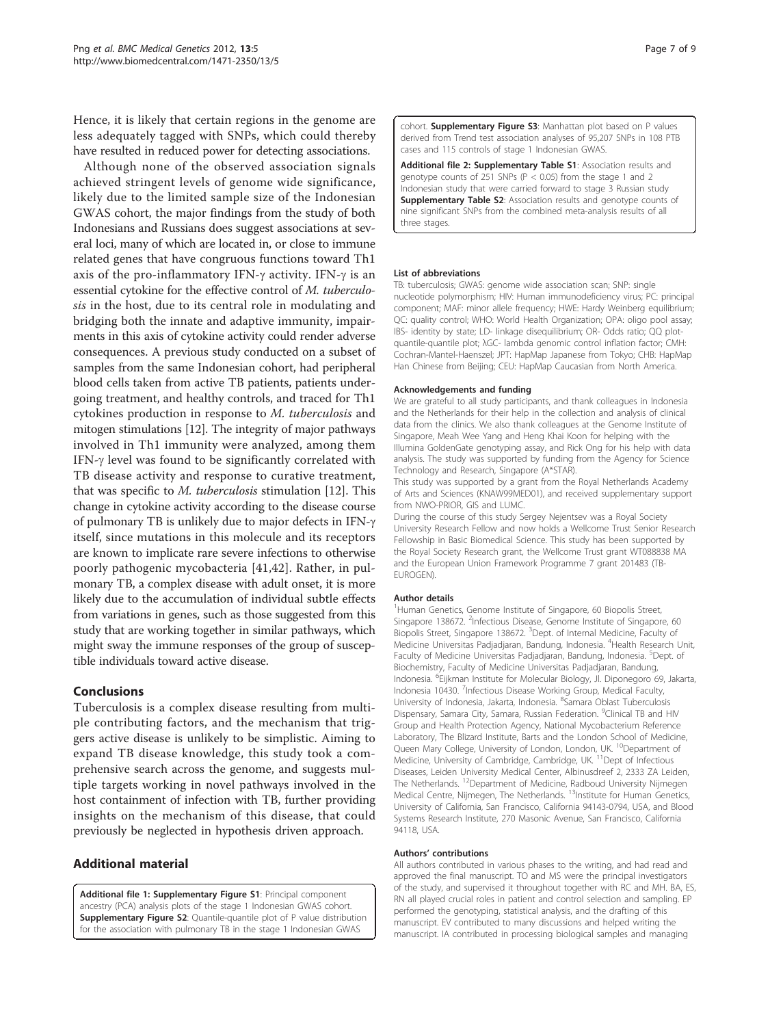<span id="page-6-0"></span>Hence, it is likely that certain regions in the genome are less adequately tagged with SNPs, which could thereby have resulted in reduced power for detecting associations.

Although none of the observed association signals achieved stringent levels of genome wide significance, likely due to the limited sample size of the Indonesian GWAS cohort, the major findings from the study of both Indonesians and Russians does suggest associations at several loci, many of which are located in, or close to immune related genes that have congruous functions toward Th1 axis of the pro-inflammatory IFN- $\gamma$  activity. IFN- $\gamma$  is an essential cytokine for the effective control of M. tuberculosis in the host, due to its central role in modulating and bridging both the innate and adaptive immunity, impairments in this axis of cytokine activity could render adverse consequences. A previous study conducted on a subset of samples from the same Indonesian cohort, had peripheral blood cells taken from active TB patients, patients undergoing treatment, and healthy controls, and traced for Th1 cytokines production in response to M. tuberculosis and mitogen stimulations [\[12\]](#page-7-0). The integrity of major pathways involved in Th1 immunity were analyzed, among them IFN- $\gamma$  level was found to be significantly correlated with TB disease activity and response to curative treatment, that was specific to M. tuberculosis stimulation [\[12](#page-7-0)]. This change in cytokine activity according to the disease course of pulmonary TB is unlikely due to major defects in IFN- $\gamma$ itself, since mutations in this molecule and its receptors are known to implicate rare severe infections to otherwise poorly pathogenic mycobacteria [[41,42](#page-8-0)]. Rather, in pulmonary TB, a complex disease with adult onset, it is more likely due to the accumulation of individual subtle effects from variations in genes, such as those suggested from this study that are working together in similar pathways, which might sway the immune responses of the group of susceptible individuals toward active disease.

## Conclusions

Tuberculosis is a complex disease resulting from multiple contributing factors, and the mechanism that triggers active disease is unlikely to be simplistic. Aiming to expand TB disease knowledge, this study took a comprehensive search across the genome, and suggests multiple targets working in novel pathways involved in the host containment of infection with TB, further providing insights on the mechanism of this disease, that could previously be neglected in hypothesis driven approach.

## Additional material

[Additional file 1: S](http://www.biomedcentral.com/content/supplementary/1471-2350-13-5-S1.PDF)upplementary Figure S1: Principal component ancestry (PCA) analysis plots of the stage 1 Indonesian GWAS cohort. **Supplementary Figure S2:** Quantile-quantile plot of P value distribution for the association with pulmonary TB in the stage 1 Indonesian GWAS

cohort. Supplementary Figure S3: Manhattan plot based on P values derived from Trend test association analyses of 95,207 SNPs in 108 PTB cases and 115 controls of stage 1 Indonesian GWAS.

[Additional file 2: S](http://www.biomedcentral.com/content/supplementary/1471-2350-13-5-S2.XLS)upplementary Table S1: Association results and genotype counts of 251 SNPs (P < 0.05) from the stage 1 and 2 Indonesian study that were carried forward to stage 3 Russian study Supplementary Table S2: Association results and genotype counts of nine significant SNPs from the combined meta-analysis results of all three stages.

#### List of abbreviations

TB: tuberculosis; GWAS: genome wide association scan; SNP: single nucleotide polymorphism; HIV: Human immunodeficiency virus; PC: principal component; MAF: minor allele frequency; HWE: Hardy Weinberg equilibrium; QC: quality control; WHO: World Health Organization; OPA: oligo pool assay; IBS- identity by state; LD- linkage disequilibrium; OR- Odds ratio; QQ plotquantile-quantile plot; λGC- lambda genomic control inflation factor; CMH: Cochran-Mantel-Haenszel; JPT: HapMap Japanese from Tokyo; CHB: HapMap Han Chinese from Beijing; CEU: HapMap Caucasian from North America.

#### Acknowledgements and funding

We are grateful to all study participants, and thank colleagues in Indonesia and the Netherlands for their help in the collection and analysis of clinical data from the clinics. We also thank colleagues at the Genome Institute of Singapore, Meah Wee Yang and Heng Khai Koon for helping with the Illumina GoldenGate genotyping assay, and Rick Ong for his help with data analysis. The study was supported by funding from the Agency for Science Technology and Research, Singapore (A\*STAR).

This study was supported by a grant from the Royal Netherlands Academy of Arts and Sciences (KNAW99MED01), and received supplementary support from NWO-PRIOR, GIS and LUMC.

During the course of this study Sergey Nejentsev was a Royal Society University Research Fellow and now holds a Wellcome Trust Senior Research Fellowship in Basic Biomedical Science. This study has been supported by the Royal Society Research grant, the Wellcome Trust grant WT088838 MA and the European Union Framework Programme 7 grant 201483 (TB-EUROGEN).

#### Author details

<sup>1</sup>Human Genetics, Genome Institute of Singapore, 60 Biopolis Street, Singapore 138672. <sup>2</sup>Infectious Disease, Genome Institute of Singapore, 60 Biopolis Street, Singapore 138672. <sup>3</sup>Dept. of Internal Medicine, Faculty of Medicine Universitas Padjadjaran, Bandung, Indonesia. <sup>4</sup>Health Research Unit Faculty of Medicine Universitas Padjadjaran, Bandung, Indonesia. <sup>5</sup>Dept. of Biochemistry, Faculty of Medicine Universitas Padjadjaran, Bandung, Indonesia. <sup>6</sup> Eijkman Institute for Molecular Biology, Jl. Diponegoro 69, Jakarta, Indonesia 10430. <sup>7</sup>Infectious Disease Working Group, Medical Faculty University of Indonesia, Jakarta, Indonesia. <sup>8</sup>Samara Oblast Tuberculosis Dispensary, Samara City, Samara, Russian Federation. <sup>9</sup>Clinical TB and HIV Group and Health Protection Agency, National Mycobacterium Reference Laboratory, The Blizard Institute, Barts and the London School of Medicine, Queen Mary College, University of London, London, UK. <sup>10</sup>Department of Medicine, University of Cambridge, Cambridge, UK.<sup>11</sup>Dept of Infectious Diseases, Leiden University Medical Center, Albinusdreef 2, 2333 ZA Leiden, The Netherlands. <sup>12</sup>Department of Medicine, Radboud University Nijmegen Medical Centre, Nijmegen, The Netherlands. <sup>13</sup>Institute for Human Genetics, University of California, San Francisco, California 94143-0794, USA, and Blood Systems Research Institute, 270 Masonic Avenue, San Francisco, California 94118, USA.

#### Authors' contributions

All authors contributed in various phases to the writing, and had read and approved the final manuscript. TO and MS were the principal investigators of the study, and supervised it throughout together with RC and MH. BA, ES, RN all played crucial roles in patient and control selection and sampling. EP performed the genotyping, statistical analysis, and the drafting of this manuscript. EV contributed to many discussions and helped writing the manuscript. IA contributed in processing biological samples and managing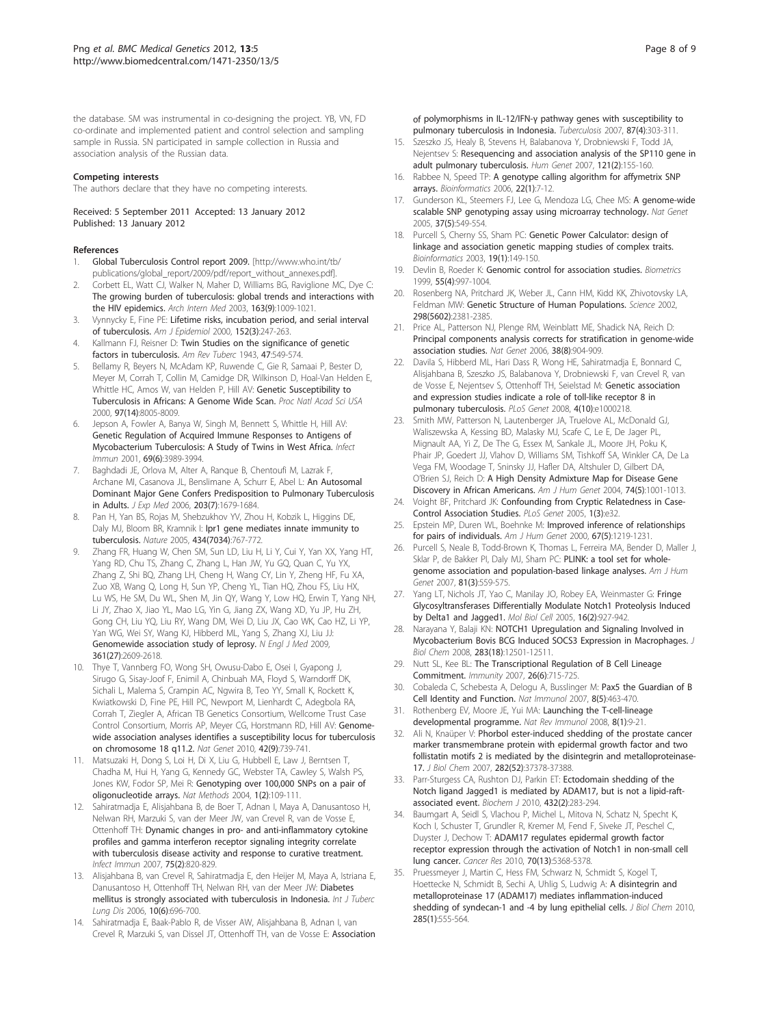<span id="page-7-0"></span>the database. SM was instrumental in co-designing the project. YB, VN, FD co-ordinate and implemented patient and control selection and sampling sample in Russia. SN participated in sample collection in Russia and association analysis of the Russian data.

#### Competing interests

The authors declare that they have no competing interests.

Received: 5 September 2011 Accepted: 13 January 2012 Published: 13 January 2012

#### References

- 1. Global Tuberculosis Control report 2009. [\[http://www.who.int/tb/](http://www.who.int/tb/publications/global_report/2009/pdf/report_without_annexes.pdf) [publications/global\\_report/2009/pdf/report\\_without\\_annexes.pdf\]](http://www.who.int/tb/publications/global_report/2009/pdf/report_without_annexes.pdf).
- 2. Corbett EL, Watt CJ, Walker N, Maher D, Williams BG, Raviglione MC, Dye C: [The growing burden of tuberculosis: global trends and interactions with](http://www.ncbi.nlm.nih.gov/pubmed/12742798?dopt=Abstract) [the HIV epidemics.](http://www.ncbi.nlm.nih.gov/pubmed/12742798?dopt=Abstract) Arch Intern Med 2003, 163(9):1009-1021.
- 3. Vynnycky E, Fine PE: [Lifetime risks, incubation period, and serial interval](http://www.ncbi.nlm.nih.gov/pubmed/10933272?dopt=Abstract) [of tuberculosis.](http://www.ncbi.nlm.nih.gov/pubmed/10933272?dopt=Abstract) Am J Epidemiol 2000, 152(3):247-263.
- 4. Kallmann FJ, Reisner D: Twin Studies on the significance of genetic factors in tuberculosis. Am Rev Tuberc 1943, 47:549-574.
- 5. Bellamy R, Beyers N, McAdam KP, Ruwende C, Gie R, Samaai P, Bester D, Meyer M, Corrah T, Collin M, Camidge DR, Wilkinson D, Hoal-Van Helden E, Whittle HC, Amos W, van Helden P, Hill AV: [Genetic Susceptibility to](http://www.ncbi.nlm.nih.gov/pubmed/10859364?dopt=Abstract) [Tuberculosis in Africans: A Genome Wide Scan.](http://www.ncbi.nlm.nih.gov/pubmed/10859364?dopt=Abstract) Proc Natl Acad Sci USA 2000, 97(14):8005-8009.
- Jepson A, Fowler A, Banya W, Singh M, Bennett S, Whittle H, Hill AV: [Genetic Regulation of Acquired Immune Responses to Antigens of](http://www.ncbi.nlm.nih.gov/pubmed/11349068?dopt=Abstract) [Mycobacterium Tuberculosis: A Study of Twins in West Africa.](http://www.ncbi.nlm.nih.gov/pubmed/11349068?dopt=Abstract) Infect Immun 2001, 69(6):3989-3994.
- 7. Baghdadi JE, Orlova M, Alter A, Ranque B, Chentoufi M, Lazrak F, Archane MI, Casanova JL, Benslimane A, Schurr E, Abel L: [An Autosomal](http://www.ncbi.nlm.nih.gov/pubmed/16801399?dopt=Abstract) [Dominant Major Gene Confers Predisposition to Pulmonary Tuberculosis](http://www.ncbi.nlm.nih.gov/pubmed/16801399?dopt=Abstract) [in Adults.](http://www.ncbi.nlm.nih.gov/pubmed/16801399?dopt=Abstract) J Exp Med 2006, 203(7):1679-1684.
- Pan H, Yan BS, Rojas M, Shebzukhov YV, Zhou H, Kobzik L, Higgins DE, Daly MJ, Bloom BR, Kramnik I: [Ipr1 gene mediates innate immunity to](http://www.ncbi.nlm.nih.gov/pubmed/15815631?dopt=Abstract) [tuberculosis.](http://www.ncbi.nlm.nih.gov/pubmed/15815631?dopt=Abstract) Nature 2005, 434(7034):767-772.
- Zhang FR, Huang W, Chen SM, Sun LD, Liu H, Li Y, Cui Y, Yan XX, Yang HT, Yang RD, Chu TS, Zhang C, Zhang L, Han JW, Yu GQ, Quan C, Yu YX, Zhang Z, Shi BQ, Zhang LH, Cheng H, Wang CY, Lin Y, Zheng HF, Fu XA, Zuo XB, Wang Q, Long H, Sun YP, Cheng YL, Tian HQ, Zhou FS, Liu HX, Lu WS, He SM, Du WL, Shen M, Jin QY, Wang Y, Low HQ, Erwin T, Yang NH, Li JY, Zhao X, Jiao YL, Mao LG, Yin G, Jiang ZX, Wang XD, Yu JP, Hu ZH, Gong CH, Liu YQ, Liu RY, Wang DM, Wei D, Liu JX, Cao WK, Cao HZ, Li YP, Yan WG, Wei SY, Wang KJ, Hibberd ML, Yang S, Zhang XJ, Liu JJ: [Genomewide association study of leprosy.](http://www.ncbi.nlm.nih.gov/pubmed/20018961?dopt=Abstract) N Engl J Med 2009, 361(27):2609-2618.
- 10. Thye T, Vannberg FO, Wong SH, Owusu-Dabo E, Osei I, Gyapong J, Sirugo G, Sisay-Joof F, Enimil A, Chinbuah MA, Floyd S, Warndorff DK, Sichali L, Malema S, Crampin AC, Ngwira B, Teo YY, Small K, Rockett K, Kwiatkowski D, Fine PE, Hill PC, Newport M, Lienhardt C, Adegbola RA, Corrah T, Ziegler A, African TB Genetics Consortium, Wellcome Trust Case Control Consortium, Morris AP, Meyer CG, Horstmann RD, Hill AV: [Genome](http://www.ncbi.nlm.nih.gov/pubmed/20694014?dopt=Abstract)[wide association analyses identifies a susceptibility locus for tuberculosis](http://www.ncbi.nlm.nih.gov/pubmed/20694014?dopt=Abstract) [on chromosome 18 q11.2.](http://www.ncbi.nlm.nih.gov/pubmed/20694014?dopt=Abstract) Nat Genet 2010, 42(9):739-741.
- 11. Matsuzaki H, Dong S, Loi H, Di X, Liu G, Hubbell E, Law J, Berntsen T, Chadha M, Hui H, Yang G, Kennedy GC, Webster TA, Cawley S, Walsh PS, Jones KW, Fodor SP, Mei R: [Genotyping over 100,000 SNPs on a pair of](http://www.ncbi.nlm.nih.gov/pubmed/15782172?dopt=Abstract) [oligonucleotide arrays.](http://www.ncbi.nlm.nih.gov/pubmed/15782172?dopt=Abstract) Nat Methods 2004, 1(2):109-111.
- 12. Sahiratmadja E, Alisjahbana B, de Boer T, Adnan I, Maya A, Danusantoso H, Nelwan RH, Marzuki S, van der Meer JW, van Crevel R, van de Vosse E, Ottenhoff TH: [Dynamic changes in pro- and anti-inflammatory cytokine](http://www.ncbi.nlm.nih.gov/pubmed/17145950?dopt=Abstract) [profiles and gamma interferon receptor signaling integrity correlate](http://www.ncbi.nlm.nih.gov/pubmed/17145950?dopt=Abstract) [with tuberculosis disease activity and response to curative treatment.](http://www.ncbi.nlm.nih.gov/pubmed/17145950?dopt=Abstract) Infect Immun 2007, 75(2):820-829.
- 13. Alisjahbana B, van Crevel R, Sahiratmadja E, den Heijer M, Maya A, Istriana E, Danusantoso H, Ottenhoff TH, Nelwan RH, van der Meer JW: [Diabetes](http://www.ncbi.nlm.nih.gov/pubmed/16776459?dopt=Abstract) [mellitus is strongly associated with tuberculosis in Indonesia.](http://www.ncbi.nlm.nih.gov/pubmed/16776459?dopt=Abstract) Int J Tuberc Lung Dis 2006, 10(6):696-700.
- 14. Sahiratmadja E, Baak-Pablo R, de Visser AW, Alisjahbana B, Adnan I, van Crevel R, Marzuki S, van Dissel JT, Ottenhoff TH, van de Vosse E: [Association](http://www.ncbi.nlm.nih.gov/pubmed/17392024?dopt=Abstract)

of polymorphisms in IL-12/IFN-γ [pathway genes with susceptibility to](http://www.ncbi.nlm.nih.gov/pubmed/17392024?dopt=Abstract) [pulmonary tuberculosis in Indonesia.](http://www.ncbi.nlm.nih.gov/pubmed/17392024?dopt=Abstract) Tuberculosis 2007, 87(4):303-311.

- 15. Szeszko JS, Healy B, Stevens H, Balabanova Y, Drobniewski F, Todd JA, Nejentsev S: [Resequencing and association analysis of the SP110 gene in](http://www.ncbi.nlm.nih.gov/pubmed/17149599?dopt=Abstract) [adult pulmonary tuberculosis.](http://www.ncbi.nlm.nih.gov/pubmed/17149599?dopt=Abstract) Hum Genet 2007, 121(2):155-160.
- 16. Rabbee N, Speed TP: [A genotype calling algorithm for affymetrix SNP](http://www.ncbi.nlm.nih.gov/pubmed/16267090?dopt=Abstract) [arrays.](http://www.ncbi.nlm.nih.gov/pubmed/16267090?dopt=Abstract) Bioinformatics 2006, 22(1):7-12.
- 17. Gunderson KL, Steemers FJ, Lee G, Mendoza LG, Chee MS: [A genome-wide](http://www.ncbi.nlm.nih.gov/pubmed/15838508?dopt=Abstract) [scalable SNP genotyping assay using microarray technology.](http://www.ncbi.nlm.nih.gov/pubmed/15838508?dopt=Abstract) Nat Genet 2005, 37(5):549-554.
- 18. Purcell S, Cherny SS, Sham PC: [Genetic Power Calculator: design of](http://www.ncbi.nlm.nih.gov/pubmed/12499305?dopt=Abstract) [linkage and association genetic mapping studies of complex traits.](http://www.ncbi.nlm.nih.gov/pubmed/12499305?dopt=Abstract) Bioinformatics 2003, 19(1):149-150.
- 19. Devlin B, Roeder K: [Genomic control for association studies.](http://www.ncbi.nlm.nih.gov/pubmed/11315092?dopt=Abstract) Biometrics 1999, 55(4):997-1004.
- 20. Rosenberg NA, Pritchard JK, Weber JL, Cann HM, Kidd KK, Zhivotovsky LA, Feldman MW: [Genetic Structure of Human Populations.](http://www.ncbi.nlm.nih.gov/pubmed/12493913?dopt=Abstract) Science 2002, 298(5602):2381-2385.
- 21. Price AL, Patterson NJ, Plenge RM, Weinblatt ME, Shadick NA, Reich D: [Principal components analysis corrects for stratification in genome-wide](http://www.ncbi.nlm.nih.gov/pubmed/16862161?dopt=Abstract) [association studies.](http://www.ncbi.nlm.nih.gov/pubmed/16862161?dopt=Abstract) Nat Genet 2006, 38(8):904-909.
- 22. Davila S, Hibberd ML, Hari Dass R, Wong HE, Sahiratmadja E, Bonnard C, Alisjahbana B, Szeszko JS, Balabanova Y, Drobniewski F, van Crevel R, van de Vosse E, Nejentsev S, Ottenhoff TH, Seielstad M: [Genetic association](http://www.ncbi.nlm.nih.gov/pubmed/18927625?dopt=Abstract) [and expression studies indicate a role of toll-like receptor 8 in](http://www.ncbi.nlm.nih.gov/pubmed/18927625?dopt=Abstract) [pulmonary tuberculosis.](http://www.ncbi.nlm.nih.gov/pubmed/18927625?dopt=Abstract) PLoS Genet 2008, 4(10):e1000218.
- 23. Smith MW, Patterson N, Lautenberger JA, Truelove AL, McDonald GJ, Waliszewska A, Kessing BD, Malasky MJ, Scafe C, Le E, De Jager PL, Mignault AA, Yi Z, De The G, Essex M, Sankale JL, Moore JH, Poku K, Phair JP, Goedert JJ, Vlahov D, Williams SM, Tishkoff SA, Winkler CA, De La Vega FM, Woodage T, Sninsky JJ, Hafler DA, Altshuler D, Gilbert DA, O'Brien SJ, Reich D: [A High Density Admixture Map for Disease Gene](http://www.ncbi.nlm.nih.gov/pubmed/15088270?dopt=Abstract) [Discovery in African Americans.](http://www.ncbi.nlm.nih.gov/pubmed/15088270?dopt=Abstract) Am J Hum Genet 2004, 74(5):1001-1013.
- 24. Voight BF, Pritchard JK: [Confounding from Cryptic Relatedness in Case-](http://www.ncbi.nlm.nih.gov/pubmed/16151517?dopt=Abstract)[Control Association Studies.](http://www.ncbi.nlm.nih.gov/pubmed/16151517?dopt=Abstract) PLoS Genet 2005, 1(3):e32.
- 25. Epstein MP, Duren WL, Boehnke M: [Improved inference of relationships](http://www.ncbi.nlm.nih.gov/pubmed/11032786?dopt=Abstract) [for pairs of individuals.](http://www.ncbi.nlm.nih.gov/pubmed/11032786?dopt=Abstract) Am J Hum Genet 2000, 67(5):1219-1231.
- 26. Purcell S, Neale B, Todd-Brown K, Thomas L, Ferreira MA, Bender D, Maller J, Sklar P, de Bakker PI, Daly MJ, Sham PC: [PLINK: a tool set for whole](http://www.ncbi.nlm.nih.gov/pubmed/17701901?dopt=Abstract)[genome association and population-based linkage analyses.](http://www.ncbi.nlm.nih.gov/pubmed/17701901?dopt=Abstract) Am J Hum Genet 2007, 81(3):559-575.
- 27. Yang LT, Nichols JT, Yao C, Manilay JO, Robey EA, Weinmaster G: [Fringe](http://www.ncbi.nlm.nih.gov/pubmed/15574878?dopt=Abstract) Glycosyltransferases [Differentially Modulate Notch1 Proteolysis Induced](http://www.ncbi.nlm.nih.gov/pubmed/15574878?dopt=Abstract) [by Delta1 and Jagged1.](http://www.ncbi.nlm.nih.gov/pubmed/15574878?dopt=Abstract) Mol Biol Cell 2005, 16(2):927-942.
- Narayana Y, Balaji KN: [NOTCH1 Upregulation and Signaling Involved in](http://www.ncbi.nlm.nih.gov/pubmed/18332140?dopt=Abstract) [Mycobacterium Bovis BCG Induced SOCS3 Expression in Macrophages.](http://www.ncbi.nlm.nih.gov/pubmed/18332140?dopt=Abstract) J Biol Chem 2008, 283(18):12501-12511.
- 29. Nutt SL, Kee BL: [The Transcriptional Regulation of B Cell Lineage](http://www.ncbi.nlm.nih.gov/pubmed/17582344?dopt=Abstract) [Commitment.](http://www.ncbi.nlm.nih.gov/pubmed/17582344?dopt=Abstract) Immunity 2007, 26(6):715-725.
- 30. Cobaleda C, Schebesta A, Delogu A, Busslinger M: [Pax5 the Guardian of B](http://www.ncbi.nlm.nih.gov/pubmed/17440452?dopt=Abstract) [Cell Identity and Function.](http://www.ncbi.nlm.nih.gov/pubmed/17440452?dopt=Abstract) Nat Immunol 2007, 8(5):463-470.
- 31. Rothenberg EV, Moore JE, Yui MA: [Launching the T-cell-lineage](http://www.ncbi.nlm.nih.gov/pubmed/18097446?dopt=Abstract) [developmental programme.](http://www.ncbi.nlm.nih.gov/pubmed/18097446?dopt=Abstract) Nat Rev Immunol 2008, 8(1):9-21.
- 32. Ali N, Knaüper V: [Phorbol ester-induced shedding of the prostate cancer](http://www.ncbi.nlm.nih.gov/pubmed/17942404?dopt=Abstract) [marker transmembrane protein with epidermal growth factor and two](http://www.ncbi.nlm.nih.gov/pubmed/17942404?dopt=Abstract) [follistatin motifs 2 is mediated by the disintegrin and metalloproteinase-](http://www.ncbi.nlm.nih.gov/pubmed/17942404?dopt=Abstract)[17.](http://www.ncbi.nlm.nih.gov/pubmed/17942404?dopt=Abstract) J Biol Chem 2007, 282(52):37378-37388.
- 33. Parr-Sturgess CA, Rushton DJ, Parkin ET: [Ectodomain shedding of the](http://www.ncbi.nlm.nih.gov/pubmed/20819075?dopt=Abstract) [Notch ligand Jagged1 is mediated by ADAM17, but is not a lipid-raft](http://www.ncbi.nlm.nih.gov/pubmed/20819075?dopt=Abstract)[associated event.](http://www.ncbi.nlm.nih.gov/pubmed/20819075?dopt=Abstract) Biochem J 2010, 432(2):283-294.
- 34. Baumgart A, Seidl S, Vlachou P, Michel L, Mitova N, Schatz N, Specht K, Koch I, Schuster T, Grundler R, Kremer M, Fend F, Siveke JT, Peschel C, Duyster J, Dechow T: [ADAM17 regulates epidermal growth factor](http://www.ncbi.nlm.nih.gov/pubmed/20551051?dopt=Abstract) [receptor expression through the activation of Notch1 in non-small cell](http://www.ncbi.nlm.nih.gov/pubmed/20551051?dopt=Abstract) [lung cancer.](http://www.ncbi.nlm.nih.gov/pubmed/20551051?dopt=Abstract) Cancer Res 2010, 70(13):5368-5378.
- 35. Pruessmeyer J, Martin C, Hess FM, Schwarz N, Schmidt S, Kogel T, Hoettecke N, Schmidt B, Sechi A, Uhlig S, Ludwig A: [A disintegrin and](http://www.ncbi.nlm.nih.gov/pubmed/19875451?dopt=Abstract) [metalloproteinase 17 \(ADAM17\) mediates inflammation-induced](http://www.ncbi.nlm.nih.gov/pubmed/19875451?dopt=Abstract) [shedding of syndecan-1 and -4 by lung epithelial cells.](http://www.ncbi.nlm.nih.gov/pubmed/19875451?dopt=Abstract) J Biol Chem 2010, 285(1):555-564.